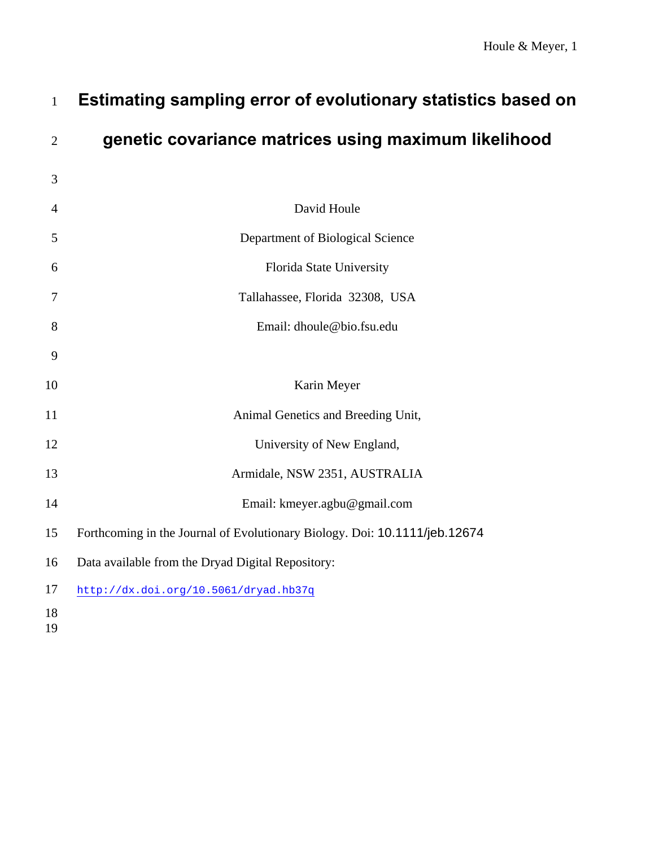| Houle & Meyer, 1 |  |  |
|------------------|--|--|
|------------------|--|--|

| $\mathbf{1}$         | Estimating sampling error of evolutionary statistics based on              |
|----------------------|----------------------------------------------------------------------------|
| $\overline{2}$       | genetic covariance matrices using maximum likelihood                       |
| 3                    |                                                                            |
| $\overline{4}$       | David Houle                                                                |
| 5                    | Department of Biological Science                                           |
| 6                    | Florida State University                                                   |
| 7                    | Tallahassee, Florida 32308, USA                                            |
| 8                    | Email: dhoule@bio.fsu.edu                                                  |
| 9                    |                                                                            |
| 10                   | Karin Meyer                                                                |
| 11                   | Animal Genetics and Breeding Unit,                                         |
| 12                   | University of New England,                                                 |
| 13                   | Armidale, NSW 2351, AUSTRALIA                                              |
| 14                   | Email: kmeyer.agbu@gmail.com                                               |
| 15                   | Forthcoming in the Journal of Evolutionary Biology. Doi: 10.1111/jeb.12674 |
| 16                   | Data available from the Dryad Digital Repository:                          |
| 17                   | http://dx.doi.org/10.5061/dryad.hb37q                                      |
| 18<br>1 <sub>0</sub> |                                                                            |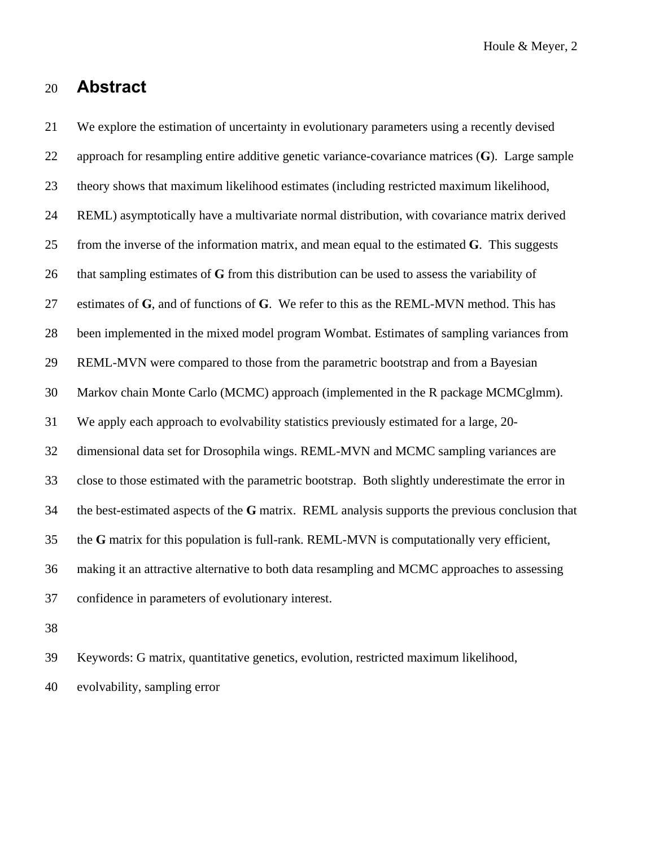# 20 **Abstract**

21 We explore the estimation of uncertainty in evolutionary parameters using a recently devised 22 approach for resampling entire additive genetic variance-covariance matrices (**G**). Large sample 23 theory shows that maximum likelihood estimates (including restricted maximum likelihood, 24 REML) asymptotically have a multivariate normal distribution, with covariance matrix derived 25 from the inverse of the information matrix, and mean equal to the estimated **G**. This suggests 26 that sampling estimates of **G** from this distribution can be used to assess the variability of 27 estimates of **G**, and of functions of **G**. We refer to this as the REML-MVN method. This has 28 been implemented in the mixed model program Wombat. Estimates of sampling variances from 29 REML-MVN were compared to those from the parametric bootstrap and from a Bayesian 30 Markov chain Monte Carlo (MCMC) approach (implemented in the R package MCMCglmm). 31 We apply each approach to evolvability statistics previously estimated for a large, 20- 32 dimensional data set for Drosophila wings. REML-MVN and MCMC sampling variances are 33 close to those estimated with the parametric bootstrap. Both slightly underestimate the error in 34 the best-estimated aspects of the **G** matrix. REML analysis supports the previous conclusion that 35 the **G** matrix for this population is full-rank. REML-MVN is computationally very efficient, 36 making it an attractive alternative to both data resampling and MCMC approaches to assessing 37 confidence in parameters of evolutionary interest.

38

39 Keywords: G matrix, quantitative genetics, evolution, restricted maximum likelihood,

40 evolvability, sampling error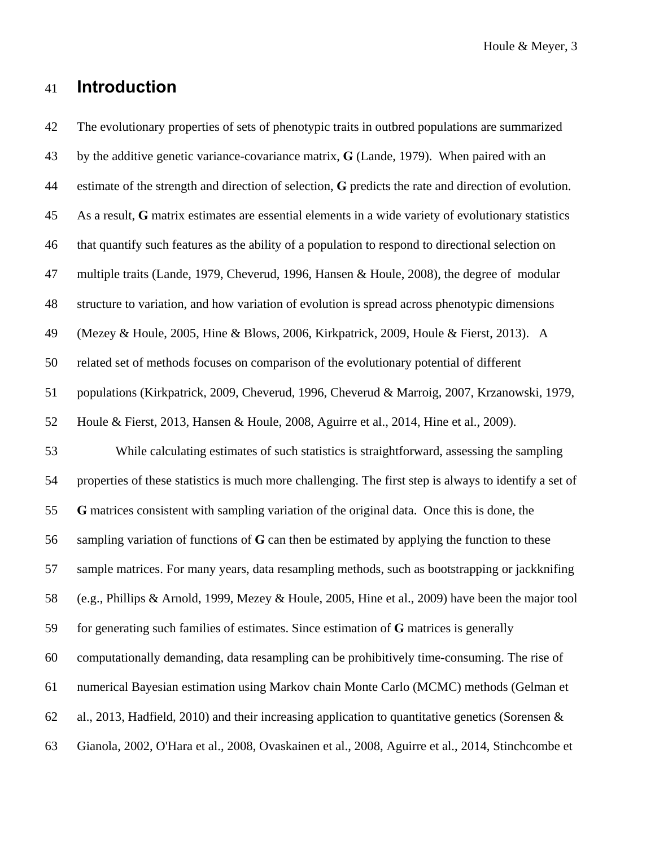# 41 **Introduction**

42 The evolutionary properties of sets of phenotypic traits in outbred populations are summarized 43 by the additive genetic variance-covariance matrix, **G** (Lande, 1979). When paired with an 44 estimate of the strength and direction of selection, **G** predicts the rate and direction of evolution. 45 As a result, **G** matrix estimates are essential elements in a wide variety of evolutionary statistics 46 that quantify such features as the ability of a population to respond to directional selection on 47 multiple traits (Lande, 1979, Cheverud, 1996, Hansen & Houle, 2008), the degree of modular 48 structure to variation, and how variation of evolution is spread across phenotypic dimensions 49 (Mezey & Houle, 2005, Hine & Blows, 2006, Kirkpatrick, 2009, Houle & Fierst, 2013). A 50 related set of methods focuses on comparison of the evolutionary potential of different 51 populations (Kirkpatrick, 2009, Cheverud, 1996, Cheverud & Marroig, 2007, Krzanowski, 1979, 52 Houle & Fierst, 2013, Hansen & Houle, 2008, Aguirre et al., 2014, Hine et al., 2009). 53 While calculating estimates of such statistics is straightforward, assessing the sampling 54 properties of these statistics is much more challenging. The first step is always to identify a set of 55 **G** matrices consistent with sampling variation of the original data. Once this is done, the 56 sampling variation of functions of **G** can then be estimated by applying the function to these 57 sample matrices. For many years, data resampling methods, such as bootstrapping or jackknifing 58 (e.g., Phillips & Arnold, 1999, Mezey & Houle, 2005, Hine et al., 2009) have been the major tool 59 for generating such families of estimates. Since estimation of **G** matrices is generally 60 computationally demanding, data resampling can be prohibitively time-consuming. The rise of 61 numerical Bayesian estimation using Markov chain Monte Carlo (MCMC) methods (Gelman et 62 al., 2013, Hadfield, 2010) and their increasing application to quantitative genetics (Sorensen & 63 Gianola, 2002, O'Hara et al., 2008, Ovaskainen et al., 2008, Aguirre et al., 2014, Stinchcombe et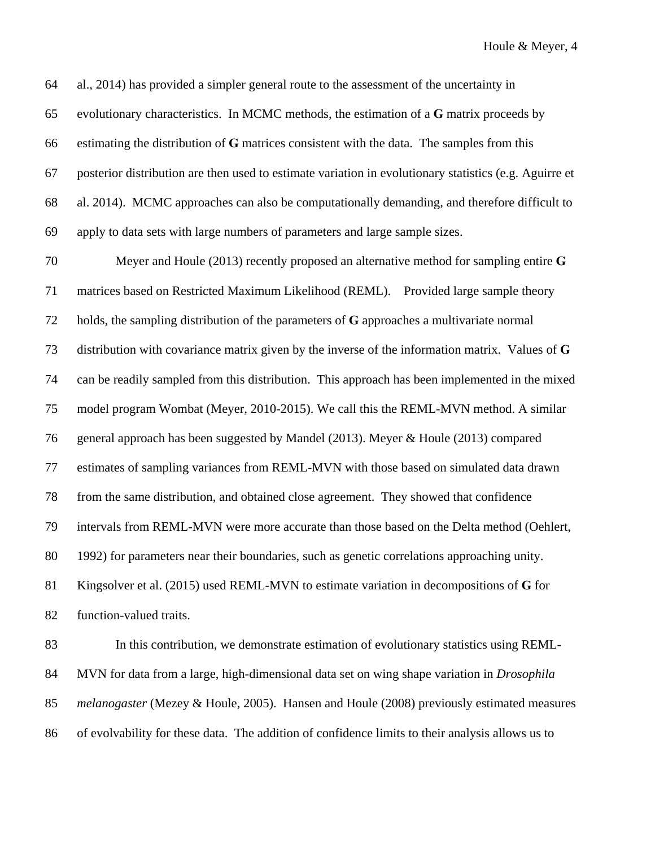64 al., 2014) has provided a simpler general route to the assessment of the uncertainty in 65 evolutionary characteristics. In MCMC methods, the estimation of a **G** matrix proceeds by 66 estimating the distribution of **G** matrices consistent with the data. The samples from this 67 posterior distribution are then used to estimate variation in evolutionary statistics (e.g. Aguirre et 68 al. 2014). MCMC approaches can also be computationally demanding, and therefore difficult to 69 apply to data sets with large numbers of parameters and large sample sizes.

70 Meyer and Houle (2013) recently proposed an alternative method for sampling entire **G** 71 matrices based on Restricted Maximum Likelihood (REML). Provided large sample theory 72 holds, the sampling distribution of the parameters of **G** approaches a multivariate normal 73 distribution with covariance matrix given by the inverse of the information matrix. Values of **G** 74 can be readily sampled from this distribution. This approach has been implemented in the mixed 75 model program Wombat (Meyer, 2010-2015). We call this the REML-MVN method. A similar 76 general approach has been suggested by Mandel (2013). Meyer & Houle (2013) compared 77 estimates of sampling variances from REML-MVN with those based on simulated data drawn 78 from the same distribution, and obtained close agreement. They showed that confidence 79 intervals from REML-MVN were more accurate than those based on the Delta method (Oehlert, 80 1992) for parameters near their boundaries, such as genetic correlations approaching unity. 81 Kingsolver et al. (2015) used REML-MVN to estimate variation in decompositions of **G** for 82 function-valued traits.

83 In this contribution, we demonstrate estimation of evolutionary statistics using REML-84 MVN for data from a large, high-dimensional data set on wing shape variation in *Drosophila*  85 *melanogaster* (Mezey & Houle, 2005). Hansen and Houle (2008) previously estimated measures 86 of evolvability for these data. The addition of confidence limits to their analysis allows us to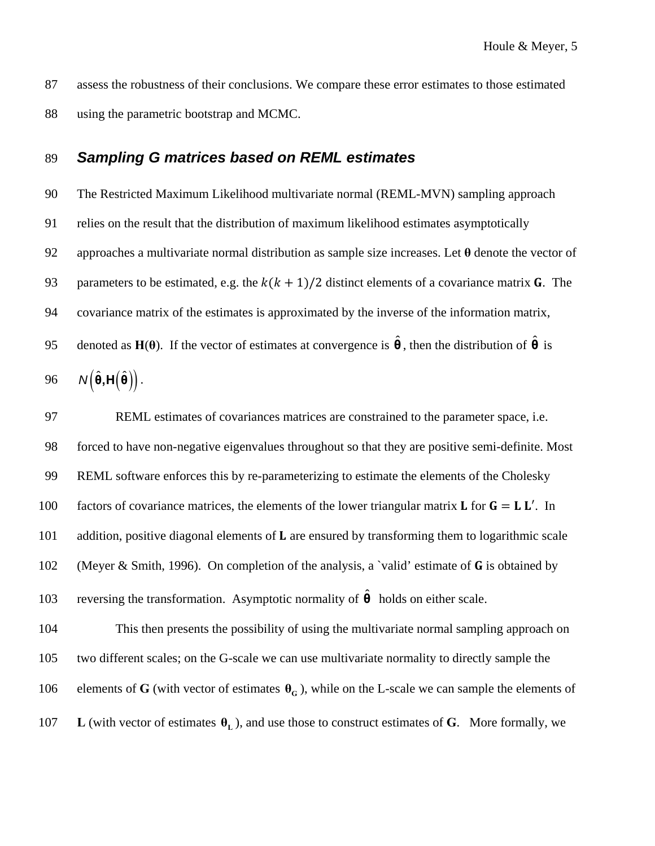87 assess the robustness of their conclusions. We compare these error estimates to those estimated 88 using the parametric bootstrap and MCMC.

## 89 *Sampling G matrices based on REML estimates*

90 The Restricted Maximum Likelihood multivariate normal (REML-MVN) sampling approach 91 relies on the result that the distribution of maximum likelihood estimates asymptotically 92 approaches a multivariate normal distribution as sample size increases. Let **θ** denote the vector of 93 parameters to be estimated, e.g. the  $k(k + 1)/2$  distinct elements of a covariance matrix G. The 94 covariance matrix of the estimates is approximated by the inverse of the information matrix, **95** denoted as **H**( $\theta$ ). If the vector of estimates at convergence is  $\hat{\theta}$ , then the distribution of  $\hat{\theta}$  is

$$
96 \qquad N(\hat{\theta}, H(\hat{\theta}))
$$

97 REML estimates of covariances matrices are constrained to the parameter space, i.e. 98 forced to have non-negative eigenvalues throughout so that they are positive semi-definite. Most 99 REML software enforces this by re-parameterizing to estimate the elements of the Cholesky 100 factors of covariance matrices, the elements of the lower triangular matrix **L** for  $G = L L'$ . In 101 addition, positive diagonal elements of  $\bf{L}$  are ensured by transforming them to logarithmic scale 102 (Meyer & Smith, 1996). On completion of the analysis, a 'valid' estimate of **G** is obtained by 103 reversing the transformation. Asymptotic normality of  $\hat{\theta}$  holds on either scale.

104 This then presents the possibility of using the multivariate normal sampling approach on 105 two different scales; on the G-scale we can use multivariate normality to directly sample the 106 elements of **G** (with vector of estimates  $\theta$ <sup> $\theta$ </sup><sub> $\theta$ </sub>), while on the L-scale we can sample the elements of **L** (with vector of estimates  $\theta_L$ ), and use those to construct estimates of G. More formally, we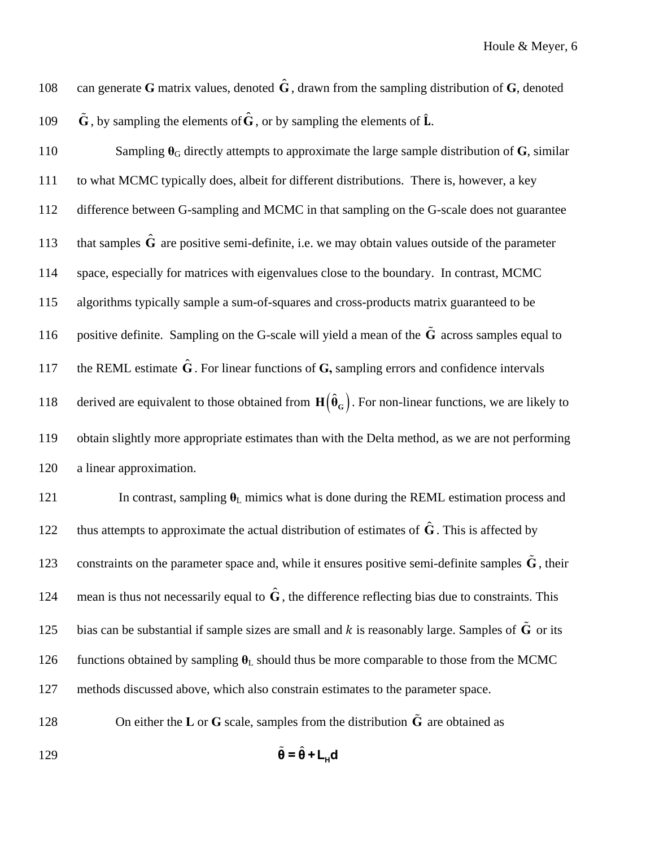108 can generate **G** matrix values, denoted  $\hat{G}$ , drawn from the sampling distribution of **G**, denoted 109  $\tilde{G}$ , by sampling the elements of  $\hat{G}$ , or by sampling the elements of  $\hat{L}$ .

110 Sampling  $\theta_G$  directly attempts to approximate the large sample distribution of **G**, similar 111 to what MCMC typically does, albeit for different distributions. There is, however, a key 112 difference between G-sampling and MCMC in that sampling on the G-scale does not guarantee 113 that samples  $\hat{G}$  are positive semi-definite, i.e. we may obtain values outside of the parameter 114 space, especially for matrices with eigenvalues close to the boundary. In contrast, MCMC 115 algorithms typically sample a sum-of-squares and cross-products matrix guaranteed to be 116 positive definite. Sampling on the G-scale will yield a mean of the  $\tilde{G}$  across samples equal to 117 the REML estimate  $\hat{G}$ . For linear functions of  $G$ , sampling errors and confidence intervals 118 derived are equivalent to those obtained from  $H(\hat{\theta}_G)$ . For non-linear functions, we are likely to 119 obtain slightly more appropriate estimates than with the Delta method, as we are not performing 120 a linear approximation.

121 In contrast, sampling  $\theta_L$  mimics what is done during the REML estimation process and thus attempts to approximate the actual distribution of estimates of  $\hat{G}$ . This is affected by 123 constraints on the parameter space and, while it ensures positive semi-definite samples  $\tilde{G}$ , their 124 mean is thus not necessarily equal to  $\hat{G}$ , the difference reflecting bias due to constraints. This 125 bias can be substantial if sample sizes are small and  $k$  is reasonably large. Samples of  $\tilde{G}$  or its 126 functions obtained by sampling  $\theta_L$  should thus be more comparable to those from the MCMC 127 methods discussed above, which also constrain estimates to the parameter space.

128 **On either the L** or **G** scale, samples from the distribution  $\tilde{G}$  are obtained as

$$
\tilde{\mathbf{\theta}} = \hat{\mathbf{\theta}} + \mathbf{L}_{\mathbf{H}} \mathbf{d}
$$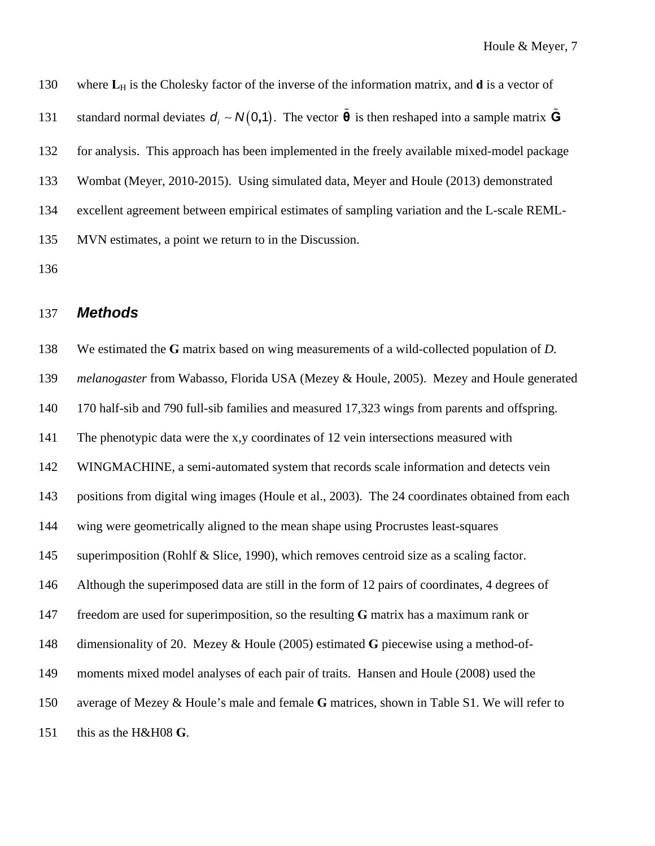130 where L<sub>H</sub> is the Cholesky factor of the inverse of the information matrix, and **d** is a vector of 131 standard normal deviates  $d_i \sim N(0,1)$ . The vector  $\tilde{\theta}$  is then reshaped into a sample matrix  $\tilde{G}$ 132 for analysis. This approach has been implemented in the freely available mixed-model package 133 Wombat (Meyer, 2010-2015). Using simulated data, Meyer and Houle (2013) demonstrated 134 excellent agreement between empirical estimates of sampling variation and the L-scale REML-135 MVN estimates, a point we return to in the Discussion.

136

## 137 *Methods*

138 We estimated the **G** matrix based on wing measurements of a wild-collected population of *D.*  139 *melanogaster* from Wabasso, Florida USA (Mezey & Houle, 2005). Mezey and Houle generated 140 170 half-sib and 790 full-sib families and measured 17,323 wings from parents and offspring. 141 The phenotypic data were the x,y coordinates of 12 vein intersections measured with 142 WINGMACHINE, a semi-automated system that records scale information and detects vein 143 positions from digital wing images (Houle et al., 2003). The 24 coordinates obtained from each 144 wing were geometrically aligned to the mean shape using Procrustes least-squares 145 superimposition (Rohlf & Slice, 1990), which removes centroid size as a scaling factor. 146 Although the superimposed data are still in the form of 12 pairs of coordinates, 4 degrees of 147 freedom are used for superimposition, so the resulting **G** matrix has a maximum rank or 148 dimensionality of 20. Mezey & Houle (2005) estimated **G** piecewise using a method-of-149 moments mixed model analyses of each pair of traits. Hansen and Houle (2008) used the 150 average of Mezey & Houle's male and female **G** matrices, shown in Table S1. We will refer to 151 this as the H&H08 **G**.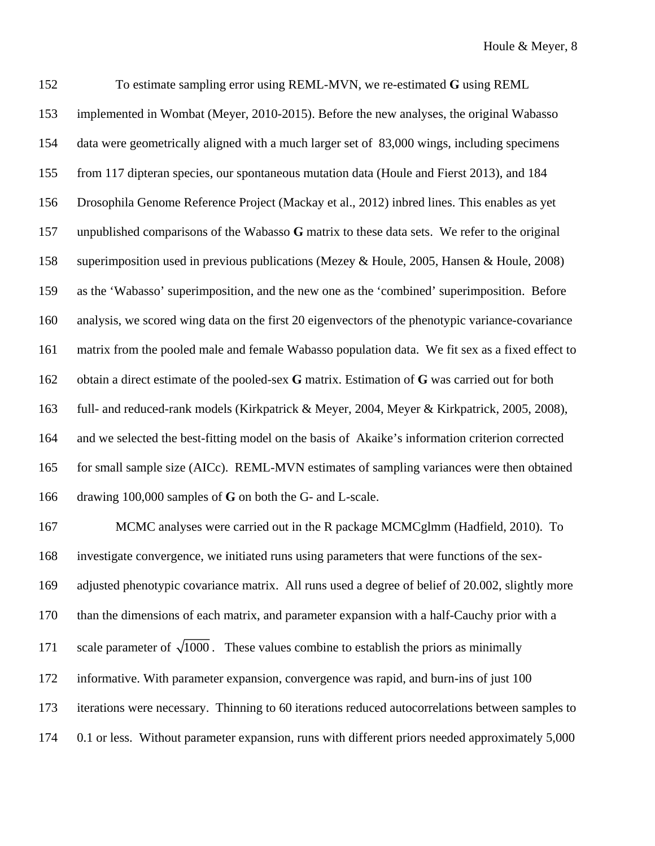152 To estimate sampling error using REML-MVN, we re-estimated **G** using REML 153 implemented in Wombat (Meyer, 2010-2015). Before the new analyses, the original Wabasso 154 data were geometrically aligned with a much larger set of 83,000 wings, including specimens 155 from 117 dipteran species, our spontaneous mutation data (Houle and Fierst 2013), and 184 156 Drosophila Genome Reference Project (Mackay et al., 2012) inbred lines. This enables as yet 157 unpublished comparisons of the Wabasso **G** matrix to these data sets. We refer to the original 158 superimposition used in previous publications (Mezey & Houle, 2005, Hansen & Houle, 2008) 159 as the 'Wabasso' superimposition, and the new one as the 'combined' superimposition. Before 160 analysis, we scored wing data on the first 20 eigenvectors of the phenotypic variance-covariance 161 matrix from the pooled male and female Wabasso population data. We fit sex as a fixed effect to 162 obtain a direct estimate of the pooled-sex **G** matrix. Estimation of **G** was carried out for both 163 full- and reduced-rank models (Kirkpatrick & Meyer, 2004, Meyer & Kirkpatrick, 2005, 2008), 164 and we selected the best-fitting model on the basis of Akaike's information criterion corrected 165 for small sample size (AICc). REML-MVN estimates of sampling variances were then obtained 166 drawing 100,000 samples of **G** on both the G- and L-scale. 167 MCMC analyses were carried out in the R package MCMCglmm (Hadfield, 2010). To

168 investigate convergence, we initiated runs using parameters that were functions of the sex-169 adjusted phenotypic covariance matrix. All runs used a degree of belief of 20.002, slightly more 170 than the dimensions of each matrix, and parameter expansion with a half-Cauchy prior with a 171 scale parameter of  $\sqrt{1000}$ . These values combine to establish the priors as minimally 172 informative. With parameter expansion, convergence was rapid, and burn-ins of just 100 173 iterations were necessary. Thinning to 60 iterations reduced autocorrelations between samples to 174 0.1 or less. Without parameter expansion, runs with different priors needed approximately 5,000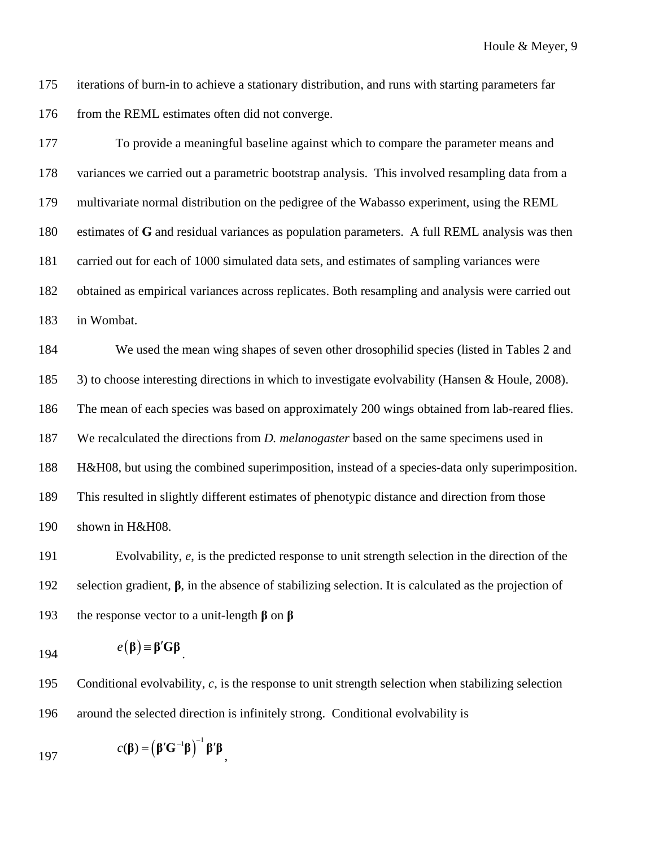175 iterations of burn-in to achieve a stationary distribution, and runs with starting parameters far 176 from the REML estimates often did not converge.

177 To provide a meaningful baseline against which to compare the parameter means and 178 variances we carried out a parametric bootstrap analysis. This involved resampling data from a 179 multivariate normal distribution on the pedigree of the Wabasso experiment, using the REML 180 estimates of **G** and residual variances as population parameters. A full REML analysis was then 181 carried out for each of 1000 simulated data sets, and estimates of sampling variances were 182 obtained as empirical variances across replicates. Both resampling and analysis were carried out 183 in Wombat.

184 We used the mean wing shapes of seven other drosophilid species (listed in Tables 2 and 185 3) to choose interesting directions in which to investigate evolvability (Hansen & Houle, 2008). 186 The mean of each species was based on approximately 200 wings obtained from lab-reared flies. 187 We recalculated the directions from *D. melanogaster* based on the same specimens used in 188 H&H08, but using the combined superimposition, instead of a species-data only superimposition. 189 This resulted in slightly different estimates of phenotypic distance and direction from those 190 shown in H&H08.

191 Evolvability, *e*, is the predicted response to unit strength selection in the direction of the 192 selection gradient, **β**, in the absence of stabilizing selection. It is calculated as the projection of 193 the response vector to a unit-length **β** on **β**

$$
e(\mathbf{\beta}) = \mathbf{\beta}' \mathbf{G} \mathbf{\beta}
$$

195 Conditional evolvability, *c*, is the response to unit strength selection when stabilizing selection 196 around the selected direction is infinitely strong. Conditional evolvability is

197  $c(\boldsymbol{\beta}) = (\boldsymbol{\beta}' \mathbf{G}^{-1} \boldsymbol{\beta})^{-1} \boldsymbol{\beta}' \boldsymbol{\beta},$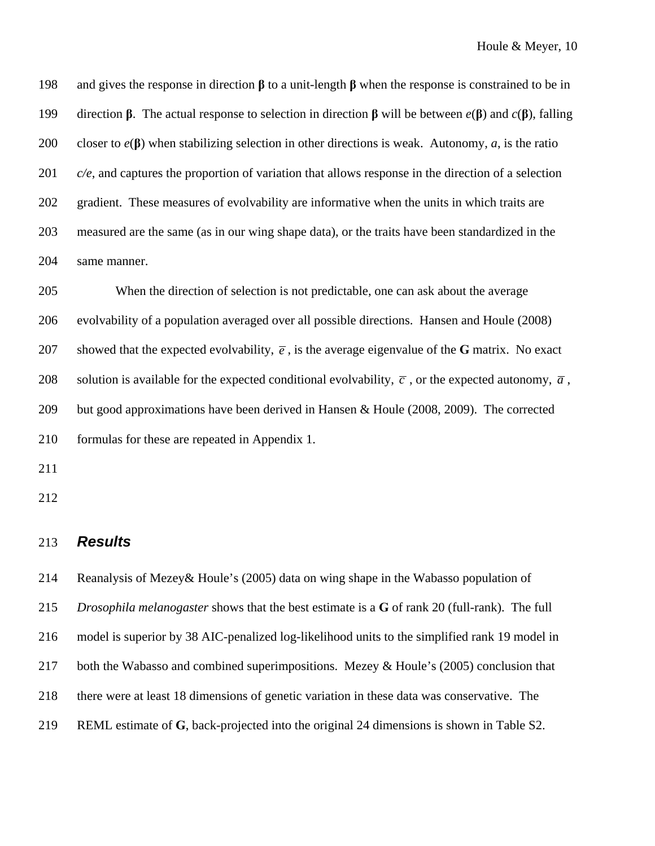198 and gives the response in direction **β** to a unit-length **β** when the response is constrained to be in 199 direction **β**. The actual response to selection in direction **β** will be between *e*(**β**) and *c*(**β**), falling 200 closer to *e*(**β**) when stabilizing selection in other directions is weak. Autonomy, *a*, is the ratio 201 *c/e*, and captures the proportion of variation that allows response in the direction of a selection 202 gradient. These measures of evolvability are informative when the units in which traits are 203 measured are the same (as in our wing shape data), or the traits have been standardized in the 204 same manner.

205 When the direction of selection is not predictable, one can ask about the average 206 evolvability of a population averaged over all possible directions. Hansen and Houle (2008) 207 showed that the expected evolvability,  $\vec{e}$ , is the average eigenvalue of the **G** matrix. No exact 208 solution is available for the expected conditional evolvability,  $\bar{c}$ , or the expected autonomy,  $\bar{a}$ , 209 but good approximations have been derived in Hansen & Houle (2008, 2009). The corrected 210 formulas for these are repeated in Appendix 1.

- 211
- 212

#### 213 *Results*

214 Reanalysis of Mezey& Houle's (2005) data on wing shape in the Wabasso population of 215 *Drosophila melanogaster* shows that the best estimate is a **G** of rank 20 (full-rank). The full 216 model is superior by 38 AIC-penalized log-likelihood units to the simplified rank 19 model in 217 both the Wabasso and combined superimpositions. Mezey & Houle's (2005) conclusion that 218 there were at least 18 dimensions of genetic variation in these data was conservative. The 219 REML estimate of **G**, back-projected into the original 24 dimensions is shown in Table S2.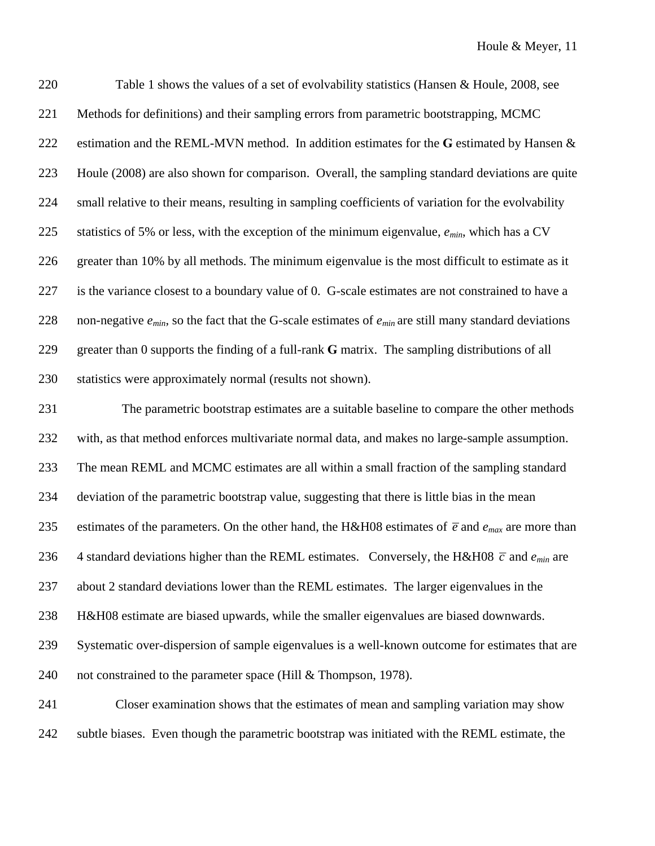220 Table 1 shows the values of a set of evolvability statistics (Hansen & Houle, 2008, see 221 Methods for definitions) and their sampling errors from parametric bootstrapping, MCMC 222 estimation and the REML-MVN method. In addition estimates for the **G** estimated by Hansen & 223 Houle (2008) are also shown for comparison. Overall, the sampling standard deviations are quite 224 small relative to their means, resulting in sampling coefficients of variation for the evolvability 225 statistics of 5% or less, with the exception of the minimum eigenvalue, *emin*, which has a CV 226 greater than 10% by all methods. The minimum eigenvalue is the most difficult to estimate as it 227 is the variance closest to a boundary value of 0. G-scale estimates are not constrained to have a 228 non-negative *emin*, so the fact that the G-scale estimates of *emin* are still many standard deviations 229 greater than 0 supports the finding of a full-rank **G** matrix. The sampling distributions of all 230 statistics were approximately normal (results not shown).

231 The parametric bootstrap estimates are a suitable baseline to compare the other methods 232 with, as that method enforces multivariate normal data, and makes no large-sample assumption. 233 The mean REML and MCMC estimates are all within a small fraction of the sampling standard 234 deviation of the parametric bootstrap value, suggesting that there is little bias in the mean 235 estimates of the parameters. On the other hand, the H&H08 estimates of  $\bar{e}$  and  $e_{max}$  are more than 236 4 standard deviations higher than the REML estimates. Conversely, the H&H08  $\bar{c}$  and  $e_{min}$  are 237 about 2 standard deviations lower than the REML estimates. The larger eigenvalues in the 238 H&H08 estimate are biased upwards, while the smaller eigenvalues are biased downwards. 239 Systematic over-dispersion of sample eigenvalues is a well-known outcome for estimates that are 240 not constrained to the parameter space (Hill & Thompson, 1978). 241 Closer examination shows that the estimates of mean and sampling variation may show

242 subtle biases. Even though the parametric bootstrap was initiated with the REML estimate, the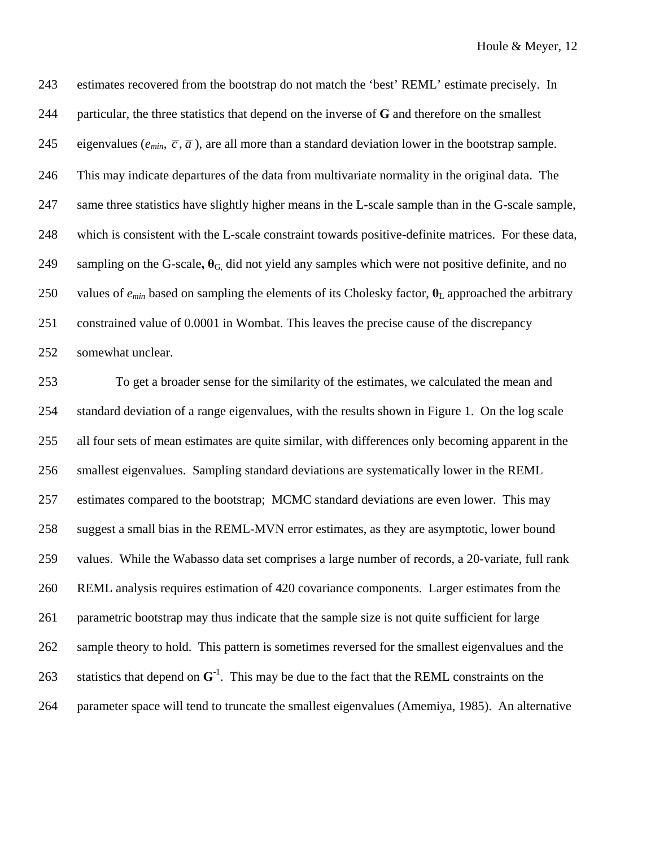243 estimates recovered from the bootstrap do not match the 'best' REML' estimate precisely. In 244 particular, the three statistics that depend on the inverse of **G** and therefore on the smallest 245 eigenvalues ( $e_{min}$ ,  $\overline{c}$ ,  $\overline{a}$ ), are all more than a standard deviation lower in the bootstrap sample. 246 This may indicate departures of the data from multivariate normality in the original data. The 247 same three statistics have slightly higher means in the L-scale sample than in the G-scale sample, 248 which is consistent with the L-scale constraint towards positive-definite matrices. For these data, 249 sampling on the G-scale,  $\theta_G$  did not yield any samples which were not positive definite, and no 250 values of *emin* based on sampling the elements of its Cholesky factor, **θ**L approached the arbitrary 251 constrained value of 0.0001 in Wombat. This leaves the precise cause of the discrepancy 252 somewhat unclear.

253 To get a broader sense for the similarity of the estimates, we calculated the mean and 254 standard deviation of a range eigenvalues, with the results shown in Figure 1. On the log scale 255 all four sets of mean estimates are quite similar, with differences only becoming apparent in the 256 smallest eigenvalues. Sampling standard deviations are systematically lower in the REML 257 estimates compared to the bootstrap; MCMC standard deviations are even lower. This may 258 suggest a small bias in the REML-MVN error estimates, as they are asymptotic, lower bound 259 values. While the Wabasso data set comprises a large number of records, a 20-variate, full rank 260 REML analysis requires estimation of 420 covariance components. Larger estimates from the 261 parametric bootstrap may thus indicate that the sample size is not quite sufficient for large 262 sample theory to hold. This pattern is sometimes reversed for the smallest eigenvalues and the 263 statistics that depend on  $G<sup>-1</sup>$ . This may be due to the fact that the REML constraints on the 264 parameter space will tend to truncate the smallest eigenvalues (Amemiya, 1985). An alternative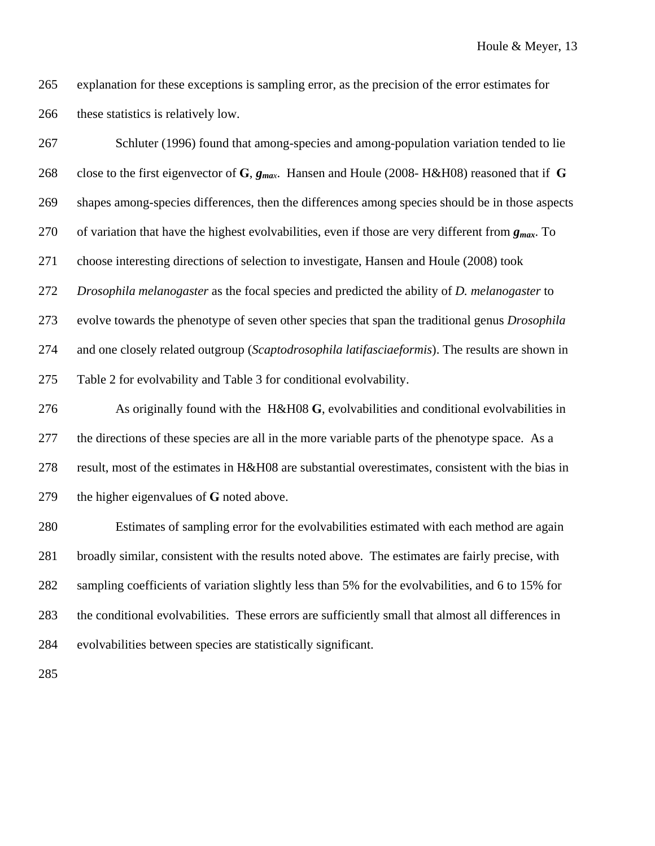265 explanation for these exceptions is sampling error, as the precision of the error estimates for 266 these statistics is relatively low.

267 Schluter (1996) found that among-species and among-population variation tended to lie 268 close to the first eigenvector of **G**, *gmax*. Hansen and Houle (2008- H&H08) reasoned that if **G** 269 shapes among-species differences, then the differences among species should be in those aspects 270 of variation that have the highest evolvabilities, even if those are very different from *gmax*. To 271 choose interesting directions of selection to investigate, Hansen and Houle (2008) took 272 *Drosophila melanogaster* as the focal species and predicted the ability of *D. melanogaster* to 273 evolve towards the phenotype of seven other species that span the traditional genus *Drosophila*  274 and one closely related outgroup (*Scaptodrosophila latifasciaeformis*). The results are shown in 275 Table 2 for evolvability and Table 3 for conditional evolvability.

276 As originally found with the H&H08 **G**, evolvabilities and conditional evolvabilities in 277 the directions of these species are all in the more variable parts of the phenotype space. As a 278 result, most of the estimates in H&H08 are substantial overestimates, consistent with the bias in 279 the higher eigenvalues of **G** noted above.

280 Estimates of sampling error for the evolvabilities estimated with each method are again 281 broadly similar, consistent with the results noted above. The estimates are fairly precise, with 282 sampling coefficients of variation slightly less than 5% for the evolvabilities, and 6 to 15% for 283 the conditional evolvabilities. These errors are sufficiently small that almost all differences in 284 evolvabilities between species are statistically significant.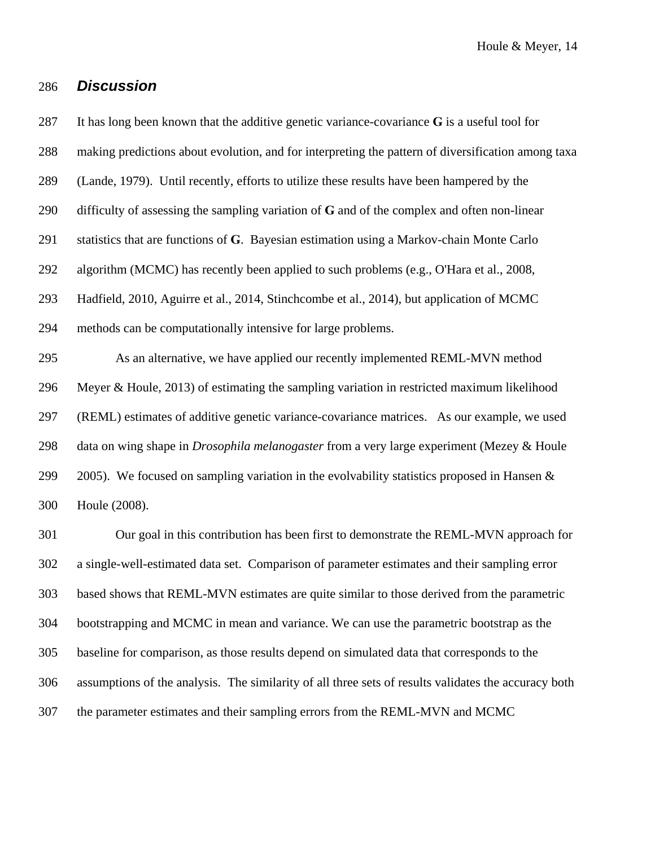## 286 *Discussion*

289 (Lande, 1979). Until recently, efforts to utilize these results have been hampered by the 290 difficulty of assessing the sampling variation of **G** and of the complex and often non-linear 291 statistics that are functions of **G**. Bayesian estimation using a Markov-chain Monte Carlo 292 algorithm (MCMC) has recently been applied to such problems (e.g., O'Hara et al., 2008, 293 Hadfield, 2010, Aguirre et al., 2014, Stinchcombe et al., 2014), but application of MCMC 294 methods can be computationally intensive for large problems. 295 As an alternative, we have applied our recently implemented REML-MVN method 296 Meyer & Houle, 2013) of estimating the sampling variation in restricted maximum likelihood

287 It has long been known that the additive genetic variance-covariance **G** is a useful tool for

288 making predictions about evolution, and for interpreting the pattern of diversification among taxa

297 (REML) estimates of additive genetic variance-covariance matrices. As our example, we used 298 data on wing shape in *Drosophila melanogaster* from a very large experiment (Mezey & Houle 299 2005). We focused on sampling variation in the evolvability statistics proposed in Hansen  $\&$ 300 Houle (2008).

301 Our goal in this contribution has been first to demonstrate the REML-MVN approach for 302 a single-well-estimated data set. Comparison of parameter estimates and their sampling error 303 based shows that REML-MVN estimates are quite similar to those derived from the parametric 304 bootstrapping and MCMC in mean and variance. We can use the parametric bootstrap as the 305 baseline for comparison, as those results depend on simulated data that corresponds to the 306 assumptions of the analysis. The similarity of all three sets of results validates the accuracy both 307 the parameter estimates and their sampling errors from the REML-MVN and MCMC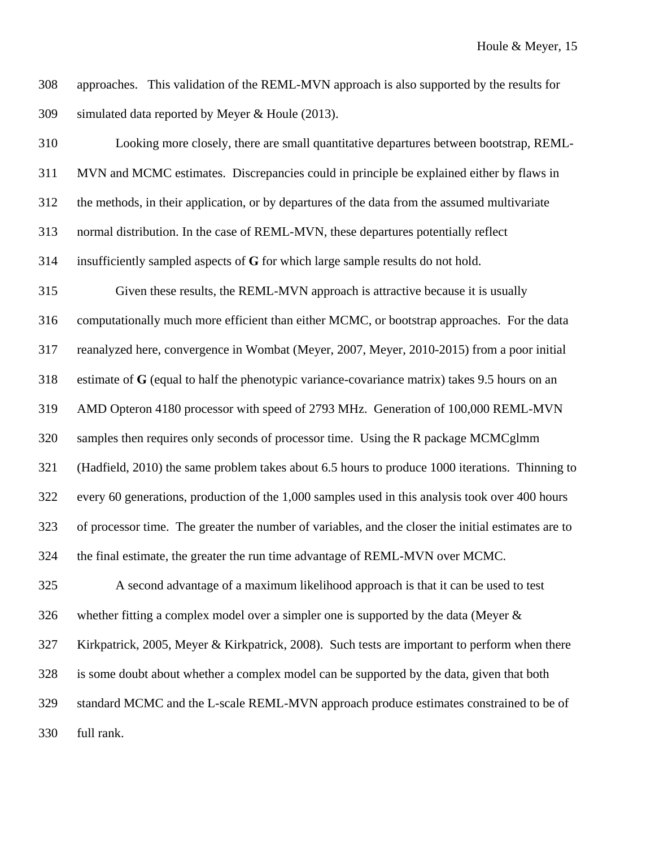308 approaches. This validation of the REML-MVN approach is also supported by the results for 309 simulated data reported by Meyer & Houle (2013).

310 Looking more closely, there are small quantitative departures between bootstrap, REML-311 MVN and MCMC estimates. Discrepancies could in principle be explained either by flaws in 312 the methods, in their application, or by departures of the data from the assumed multivariate 313 normal distribution. In the case of REML-MVN, these departures potentially reflect 314 insufficiently sampled aspects of **G** for which large sample results do not hold. 315 Given these results, the REML-MVN approach is attractive because it is usually 316 computationally much more efficient than either MCMC, or bootstrap approaches. For the data 317 reanalyzed here, convergence in Wombat (Meyer, 2007, Meyer, 2010-2015) from a poor initial 318 estimate of **G** (equal to half the phenotypic variance-covariance matrix) takes 9.5 hours on an 319 AMD Opteron 4180 processor with speed of 2793 MHz. Generation of 100,000 REML-MVN 320 samples then requires only seconds of processor time. Using the R package MCMCglmm 321 (Hadfield, 2010) the same problem takes about 6.5 hours to produce 1000 iterations. Thinning to 322 every 60 generations, production of the 1,000 samples used in this analysis took over 400 hours 323 of processor time. The greater the number of variables, and the closer the initial estimates are to 324 the final estimate, the greater the run time advantage of REML-MVN over MCMC. 325 A second advantage of a maximum likelihood approach is that it can be used to test 326 whether fitting a complex model over a simpler one is supported by the data (Meyer  $\&$ 

327 Kirkpatrick, 2005, Meyer & Kirkpatrick, 2008). Such tests are important to perform when there 328 is some doubt about whether a complex model can be supported by the data, given that both 329 standard MCMC and the L-scale REML-MVN approach produce estimates constrained to be of 330 full rank.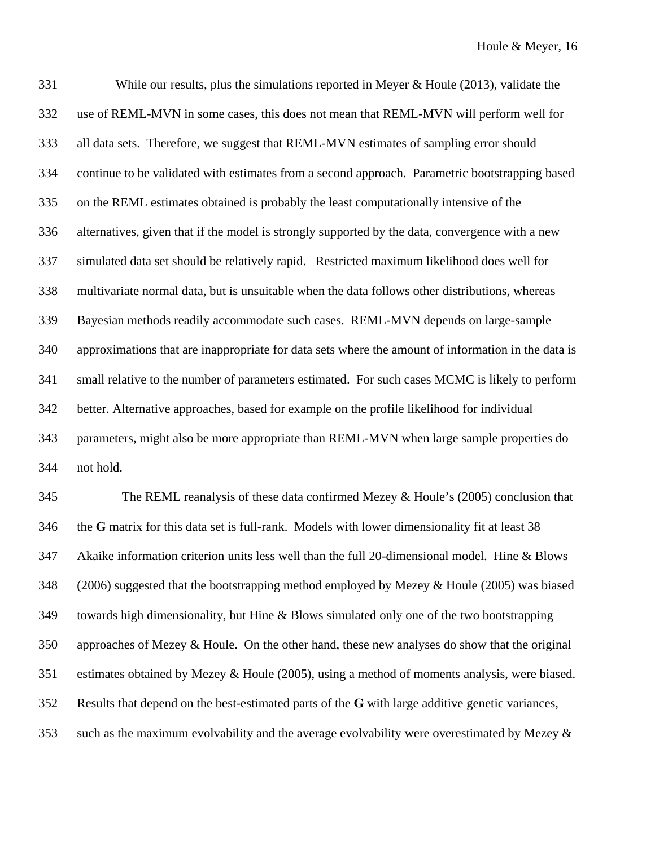331 While our results, plus the simulations reported in Meyer & Houle (2013), validate the 332 use of REML-MVN in some cases, this does not mean that REML-MVN will perform well for 333 all data sets. Therefore, we suggest that REML-MVN estimates of sampling error should 334 continue to be validated with estimates from a second approach. Parametric bootstrapping based 335 on the REML estimates obtained is probably the least computationally intensive of the 336 alternatives, given that if the model is strongly supported by the data, convergence with a new 337 simulated data set should be relatively rapid. Restricted maximum likelihood does well for 338 multivariate normal data, but is unsuitable when the data follows other distributions, whereas 339 Bayesian methods readily accommodate such cases. REML-MVN depends on large-sample 340 approximations that are inappropriate for data sets where the amount of information in the data is 341 small relative to the number of parameters estimated. For such cases MCMC is likely to perform 342 better. Alternative approaches, based for example on the profile likelihood for individual 343 parameters, might also be more appropriate than REML-MVN when large sample properties do 344 not hold.

345 The REML reanalysis of these data confirmed Mezey & Houle's (2005) conclusion that 346 the **G** matrix for this data set is full-rank. Models with lower dimensionality fit at least 38 347 Akaike information criterion units less well than the full 20-dimensional model. Hine & Blows 348 (2006) suggested that the bootstrapping method employed by Mezey & Houle (2005) was biased 349 towards high dimensionality, but Hine & Blows simulated only one of the two bootstrapping 350 approaches of Mezey & Houle. On the other hand, these new analyses do show that the original 351 estimates obtained by Mezey & Houle (2005), using a method of moments analysis, were biased. 352 Results that depend on the best-estimated parts of the **G** with large additive genetic variances, 353 such as the maximum evolvability and the average evolvability were overestimated by Mezey &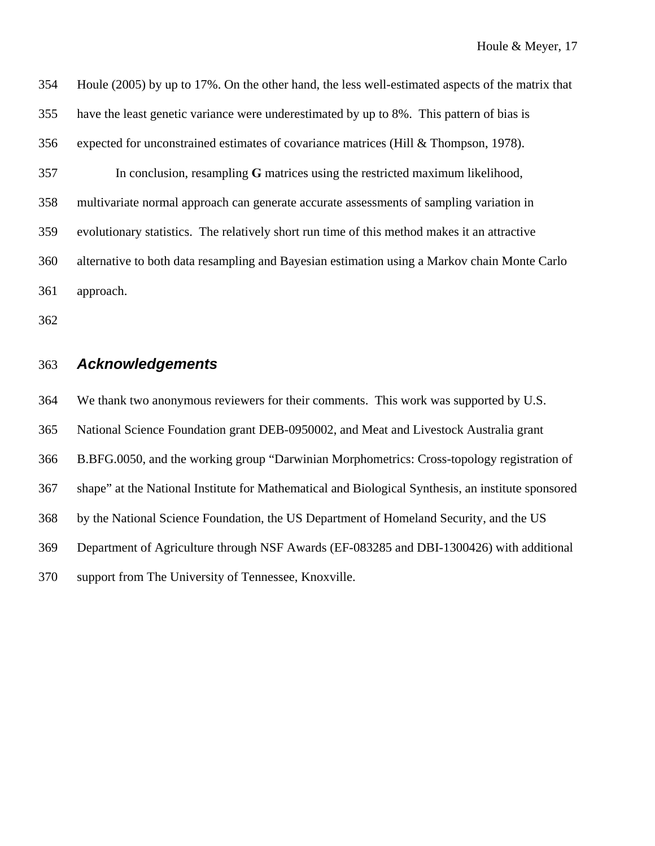354 Houle (2005) by up to 17%. On the other hand, the less well-estimated aspects of the matrix that 355 have the least genetic variance were underestimated by up to 8%. This pattern of bias is 356 expected for unconstrained estimates of covariance matrices (Hill & Thompson, 1978). 357 In conclusion, resampling **G** matrices using the restricted maximum likelihood, 358 multivariate normal approach can generate accurate assessments of sampling variation in 359 evolutionary statistics. The relatively short run time of this method makes it an attractive 360 alternative to both data resampling and Bayesian estimation using a Markov chain Monte Carlo 361 approach.

362

### 363 *Acknowledgements*

364 We thank two anonymous reviewers for their comments. This work was supported by U.S. 365 National Science Foundation grant DEB-0950002, and Meat and Livestock Australia grant 366 B.BFG.0050, and the working group "Darwinian Morphometrics: Cross-topology registration of 367 shape" at the National Institute for Mathematical and Biological Synthesis, an institute sponsored 368 by the National Science Foundation, the US Department of Homeland Security, and the US 369 Department of Agriculture through NSF Awards (EF-083285 and DBI-1300426) with additional 370 support from The University of Tennessee, Knoxville.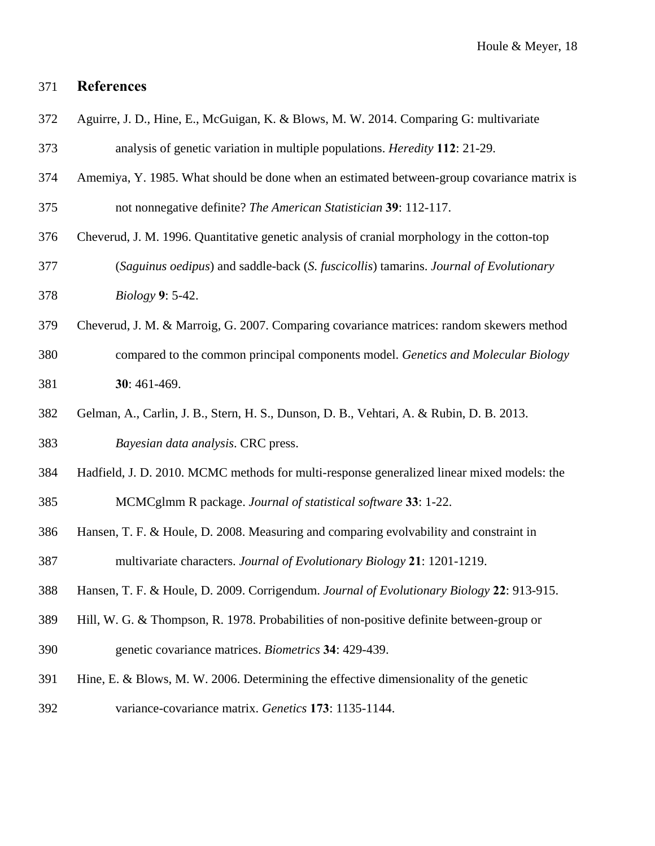## 371 **References**

- 372 Aguirre, J. D., Hine, E., McGuigan, K. & Blows, M. W. 2014. Comparing G: multivariate
- 373 analysis of genetic variation in multiple populations. *Heredity* **112**: 21-29.
- 374 Amemiya, Y. 1985. What should be done when an estimated between-group covariance matrix is
- 375 not nonnegative definite? *The American Statistician* **39**: 112-117.
- 376 Cheverud, J. M. 1996. Quantitative genetic analysis of cranial morphology in the cotton-top 377 (*Saguinus oedipus*) and saddle-back (*S. fuscicollis*) tamarins. *Journal of Evolutionary*  378 *Biology* **9**: 5-42.
- 379 Cheverud, J. M. & Marroig, G. 2007. Comparing covariance matrices: random skewers method
- 380 compared to the common principal components model. *Genetics and Molecular Biology*  381 **30**: 461-469.
- 382 Gelman, A., Carlin, J. B., Stern, H. S., Dunson, D. B., Vehtari, A. & Rubin, D. B. 2013.
- 383 *Bayesian data analysis*. CRC press.
- 384 Hadfield, J. D. 2010. MCMC methods for multi-response generalized linear mixed models: the 385 MCMCglmm R package. *Journal of statistical software* **33**: 1-22.
- 386 Hansen, T. F. & Houle, D. 2008. Measuring and comparing evolvability and constraint in

387 multivariate characters. *Journal of Evolutionary Biology* **21**: 1201-1219.

- 388 Hansen, T. F. & Houle, D. 2009. Corrigendum. *Journal of Evolutionary Biology* **22**: 913-915.
- 389 Hill, W. G. & Thompson, R. 1978. Probabilities of non-positive definite between-group or 390 genetic covariance matrices. *Biometrics* **34**: 429-439.
- 391 Hine, E. & Blows, M. W. 2006. Determining the effective dimensionality of the genetic
- 392 variance-covariance matrix. *Genetics* **173**: 1135-1144.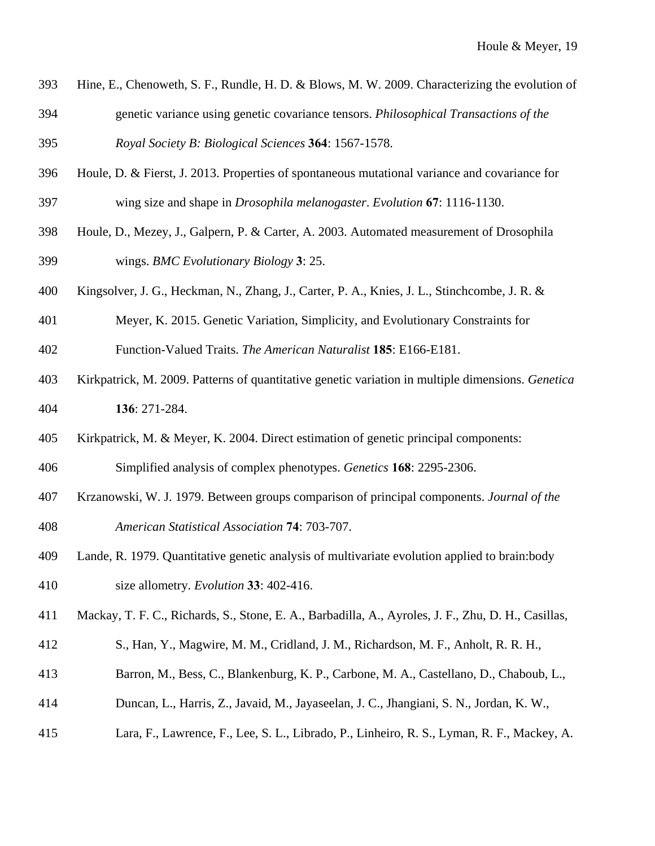- 393 Hine, E., Chenoweth, S. F., Rundle, H. D. & Blows, M. W. 2009. Characterizing the evolution of 394 genetic variance using genetic covariance tensors. *Philosophical Transactions of the*  395 *Royal Society B: Biological Sciences* **364**: 1567-1578.
- 396 Houle, D. & Fierst, J. 2013. Properties of spontaneous mutational variance and covariance for
- 397 wing size and shape in *Drosophila melanogaster*. *Evolution* **67**: 1116-1130.
- 398 Houle, D., Mezey, J., Galpern, P. & Carter, A. 2003. Automated measurement of Drosophila 399 wings. *BMC Evolutionary Biology* **3**: 25.
- 400 Kingsolver, J. G., Heckman, N., Zhang, J., Carter, P. A., Knies, J. L., Stinchcombe, J. R. &
- 401 Meyer, K. 2015. Genetic Variation, Simplicity, and Evolutionary Constraints for
- 402 Function-Valued Traits. *The American Naturalist* **185**: E166-E181.
- 403 Kirkpatrick, M. 2009. Patterns of quantitative genetic variation in multiple dimensions. *Genetica*  404 **136**: 271-284.
- 405 Kirkpatrick, M. & Meyer, K. 2004. Direct estimation of genetic principal components:

406 Simplified analysis of complex phenotypes. *Genetics* **168**: 2295-2306.

- 407 Krzanowski, W. J. 1979. Between groups comparison of principal components. *Journal of the*  408 *American Statistical Association* **74**: 703-707.
- 409 Lande, R. 1979. Quantitative genetic analysis of multivariate evolution applied to brain:body 410 size allometry. *Evolution* **33**: 402-416.
- 411 Mackay, T. F. C., Richards, S., Stone, E. A., Barbadilla, A., Ayroles, J. F., Zhu, D. H., Casillas,
- 412 S., Han, Y., Magwire, M. M., Cridland, J. M., Richardson, M. F., Anholt, R. R. H.,
- 413 Barron, M., Bess, C., Blankenburg, K. P., Carbone, M. A., Castellano, D., Chaboub, L.,
- 414 Duncan, L., Harris, Z., Javaid, M., Jayaseelan, J. C., Jhangiani, S. N., Jordan, K. W.,
- 415 Lara, F., Lawrence, F., Lee, S. L., Librado, P., Linheiro, R. S., Lyman, R. F., Mackey, A.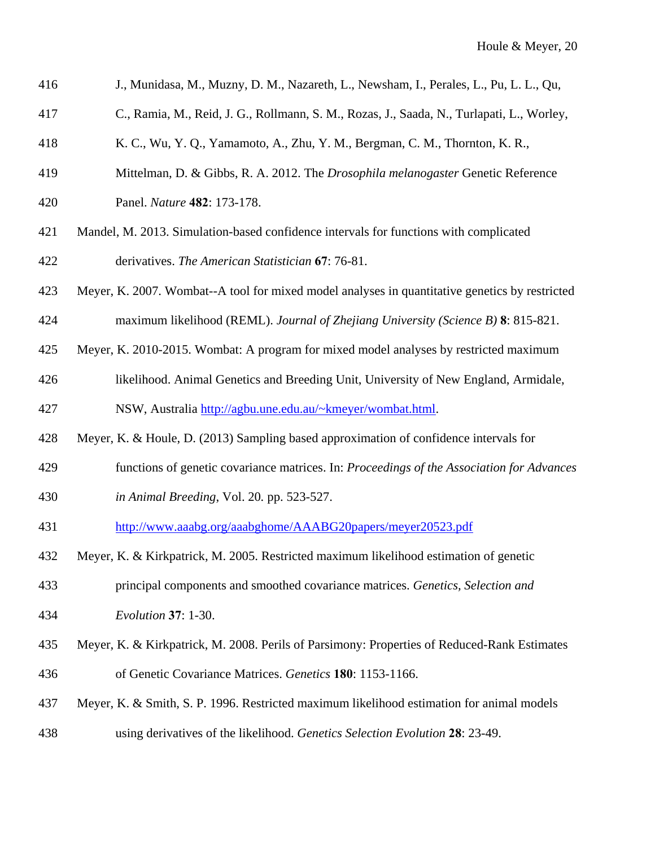| 416 | J., Munidasa, M., Muzny, D. M., Nazareth, L., Newsham, I., Perales, L., Pu, L. L., Qu,         |
|-----|------------------------------------------------------------------------------------------------|
| 417 | C., Ramia, M., Reid, J. G., Rollmann, S. M., Rozas, J., Saada, N., Turlapati, L., Worley,      |
| 418 | K. C., Wu, Y. Q., Yamamoto, A., Zhu, Y. M., Bergman, C. M., Thornton, K. R.,                   |
| 419 | Mittelman, D. & Gibbs, R. A. 2012. The Drosophila melanogaster Genetic Reference               |
| 420 | Panel. Nature 482: 173-178.                                                                    |
| 421 | Mandel, M. 2013. Simulation-based confidence intervals for functions with complicated          |
| 422 | derivatives. The American Statistician 67: 76-81.                                              |
| 423 | Meyer, K. 2007. Wombat--A tool for mixed model analyses in quantitative genetics by restricted |
| 424 | maximum likelihood (REML). Journal of Zhejiang University (Science B) 8: 815-821.              |
| 425 | Meyer, K. 2010-2015. Wombat: A program for mixed model analyses by restricted maximum          |
| 426 | likelihood. Animal Genetics and Breeding Unit, University of New England, Armidale,            |
| 427 | NSW, Australia http://agbu.une.edu.au/~kmeyer/wombat.html.                                     |
| 428 | Meyer, K. & Houle, D. (2013) Sampling based approximation of confidence intervals for          |
| 429 | functions of genetic covariance matrices. In: Proceedings of the Association for Advances      |
| 430 | in Animal Breeding, Vol. 20. pp. 523-527.                                                      |
| 431 | http://www.aaabg.org/aaabghome/AAABG20papers/meyer20523.pdf                                    |
| 432 | Meyer, K. & Kirkpatrick, M. 2005. Restricted maximum likelihood estimation of genetic          |
| 433 | principal components and smoothed covariance matrices. Genetics, Selection and                 |
| 434 | <i>Evolution</i> 37: 1-30.                                                                     |
| 435 | Meyer, K. & Kirkpatrick, M. 2008. Perils of Parsimony: Properties of Reduced-Rank Estimates    |
| 436 | of Genetic Covariance Matrices. Genetics 180: 1153-1166.                                       |

- 437 Meyer, K. & Smith, S. P. 1996. Restricted maximum likelihood estimation for animal models
- 438 using derivatives of the likelihood. *Genetics Selection Evolution* **28**: 23-49.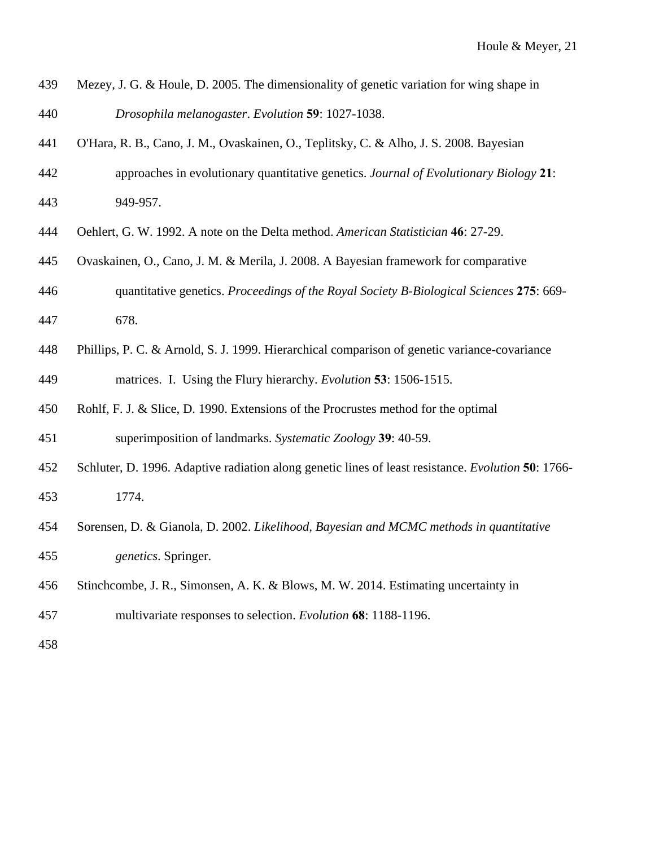- 439 Mezey, J. G. & Houle, D. 2005. The dimensionality of genetic variation for wing shape in 440 *Drosophila melanogaster*. *Evolution* **59**: 1027-1038.
- 441 O'Hara, R. B., Cano, J. M., Ovaskainen, O., Teplitsky, C. & Alho, J. S. 2008. Bayesian
- 442 approaches in evolutionary quantitative genetics. *Journal of Evolutionary Biology* **21**: 443 949-957.
- 444 Oehlert, G. W. 1992. A note on the Delta method. *American Statistician* **46**: 27-29.
- 445 Ovaskainen, O., Cano, J. M. & Merila, J. 2008. A Bayesian framework for comparative
- 446 quantitative genetics. *Proceedings of the Royal Society B-Biological Sciences* **275**: 669-
- 447 678.
- 448 Phillips, P. C. & Arnold, S. J. 1999. Hierarchical comparison of genetic variance-covariance 449 matrices. I. Using the Flury hierarchy. *Evolution* **53**: 1506-1515.
- 450 Rohlf, F. J. & Slice, D. 1990. Extensions of the Procrustes method for the optimal

451 superimposition of landmarks. *Systematic Zoology* **39**: 40-59.

- 452 Schluter, D. 1996. Adaptive radiation along genetic lines of least resistance. *Evolution* **50**: 1766- 453 1774.
- 454 Sorensen, D. & Gianola, D. 2002. *Likelihood, Bayesian and MCMC methods in quantitative*  455 *genetics*. Springer.
- 456 Stinchcombe, J. R., Simonsen, A. K. & Blows, M. W. 2014. Estimating uncertainty in
- 457 multivariate responses to selection. *Evolution* **68**: 1188-1196.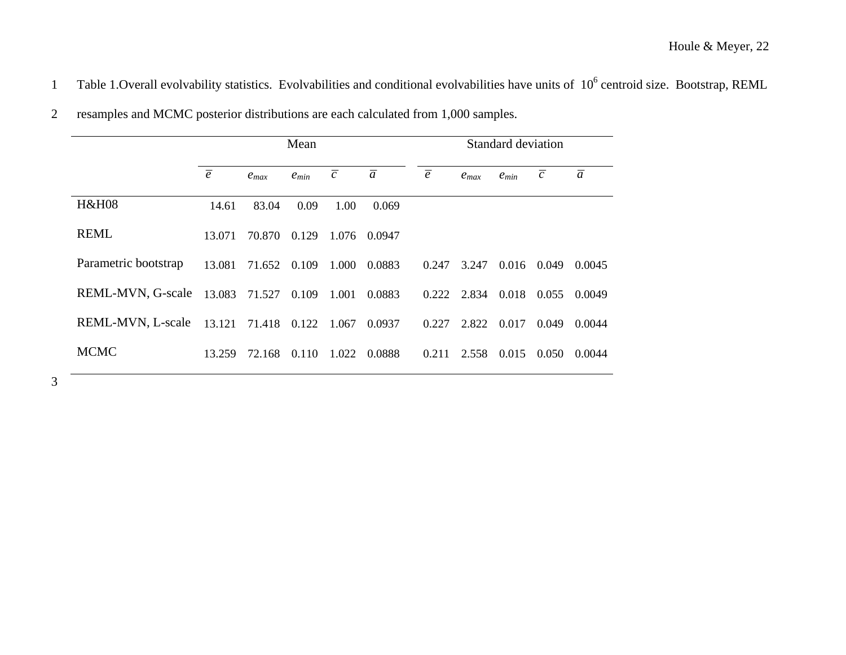1 Table 1. Overall evolvability statistics. Evolvabilities and conditional evolvabilities have units of 10<sup>6</sup> centroid size. Bootstrap, REML

|                          | Mean           |           |           |                | Standard deviation |                |           |           |                |                |
|--------------------------|----------------|-----------|-----------|----------------|--------------------|----------------|-----------|-----------|----------------|----------------|
|                          | $\overline{e}$ | $e_{max}$ | $e_{min}$ | $\overline{c}$ | $\overline{a}$     | $\overline{e}$ | $e_{max}$ | $e_{min}$ | $\overline{c}$ | $\overline{a}$ |
| <b>H&amp;H08</b>         | 14.61          | 83.04     | 0.09      | 1.00           | 0.069              |                |           |           |                |                |
| <b>REML</b>              | 13.071         | 70.870    | 0.129     | 1.076          | 0.0947             |                |           |           |                |                |
| Parametric bootstrap     | 13.081         | 71.652    | 0.109     | 1.000          | 0.0883             | 0.247          | 3.247     | 0.016     | 0.049          | 0.0045         |
| <b>REML-MVN, G-scale</b> | 13.083         | 71.527    | 0.109     | 1.001          | 0.0883             | 0.222          | 2.834     | 0.018     | 0.055          | 0.0049         |
| REML-MVN, L-scale        | 13.121         | 71.418    | 0.122     | 1.067          | 0.0937             | 0.227          | 2.822     | 0.017     | 0.049          | 0.0044         |
| <b>MCMC</b>              | 13.259         | 72.168    | 0.110     | 1.022          | 0.0888             | 0.211          | 2.558     | 0.015     | 0.050          | 0.0044         |

2 resamples and MCMC posterior distributions are each calculated from 1,000 samples.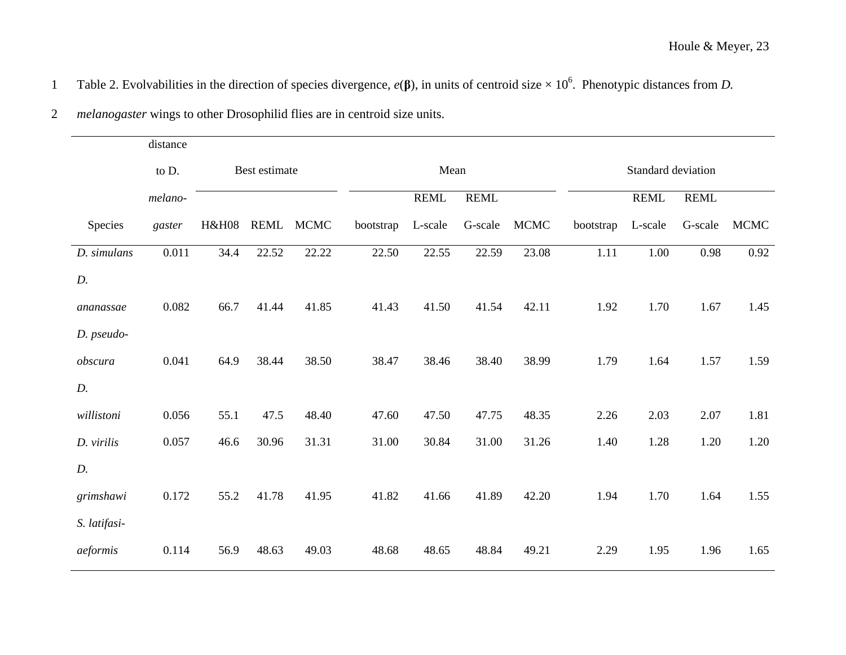|  |  |  | Table 2. Evolvabilities in the direction of species divergence, $e(\beta)$ , in units of centroid size $\times 10^6$ . Phenotypic distances from D. |
|--|--|--|-----------------------------------------------------------------------------------------------------------------------------------------------------|
|--|--|--|-----------------------------------------------------------------------------------------------------------------------------------------------------|

|              | distance |                  |       |             |           |             |             |             |                    |             |             |             |
|--------------|----------|------------------|-------|-------------|-----------|-------------|-------------|-------------|--------------------|-------------|-------------|-------------|
|              | to D.    | Best estimate    |       |             | Mean      |             |             |             | Standard deviation |             |             |             |
|              | melano-  |                  |       |             |           | <b>REML</b> | <b>REML</b> |             |                    | <b>REML</b> | <b>REML</b> |             |
| Species      | gaster   | <b>H&amp;H08</b> | REML  | <b>MCMC</b> | bootstrap | L-scale     | G-scale     | <b>MCMC</b> | bootstrap          | L-scale     | G-scale     | <b>MCMC</b> |
| D. simulans  | 0.011    | 34.4             | 22.52 | 22.22       | 22.50     | 22.55       | 22.59       | 23.08       | 1.11               | 1.00        | 0.98        | 0.92        |
| D.           |          |                  |       |             |           |             |             |             |                    |             |             |             |
| ananassae    | 0.082    | 66.7             | 41.44 | 41.85       | 41.43     | 41.50       | 41.54       | 42.11       | 1.92               | 1.70        | 1.67        | 1.45        |
| D. pseudo-   |          |                  |       |             |           |             |             |             |                    |             |             |             |
| obscura      | 0.041    | 64.9             | 38.44 | 38.50       | 38.47     | 38.46       | 38.40       | 38.99       | 1.79               | 1.64        | 1.57        | 1.59        |
| D.           |          |                  |       |             |           |             |             |             |                    |             |             |             |
| willistoni   | 0.056    | 55.1             | 47.5  | 48.40       | 47.60     | 47.50       | 47.75       | 48.35       | 2.26               | 2.03        | 2.07        | 1.81        |
| D. virilis   | 0.057    | 46.6             | 30.96 | 31.31       | 31.00     | 30.84       | 31.00       | 31.26       | 1.40               | 1.28        | 1.20        | 1.20        |
| D.           |          |                  |       |             |           |             |             |             |                    |             |             |             |
| grimshawi    | 0.172    | 55.2             | 41.78 | 41.95       | 41.82     | 41.66       | 41.89       | 42.20       | 1.94               | 1.70        | 1.64        | 1.55        |
| S. latifasi- |          |                  |       |             |           |             |             |             |                    |             |             |             |
| aeformis     | 0.114    | 56.9             | 48.63 | 49.03       | 48.68     | 48.65       | 48.84       | 49.21       | 2.29               | 1.95        | 1.96        | 1.65        |
|              |          |                  |       |             |           |             |             |             |                    |             |             |             |

2 *melanogaster* wings to other Drosophilid flies are in centroid size units.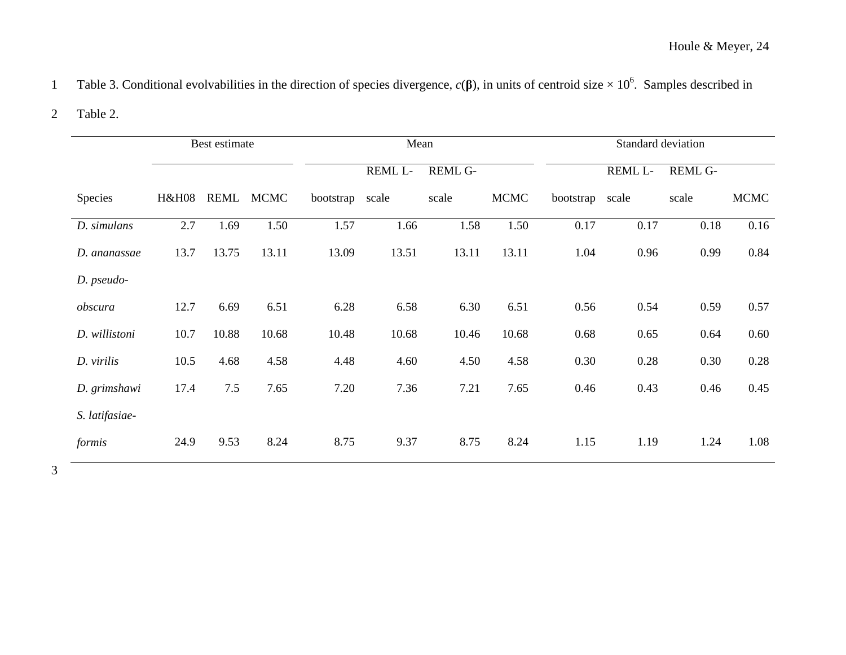# Table 3. Conditional evolvabilities in the direction of species divergence,  $c(\beta)$ , in units of centroid size  $\times 10^6$ . Samples described in

#### 2 Table 2.

|                |                  | Best estimate |             | Mean      |         |         |             | Standard deviation |         |                |             |  |
|----------------|------------------|---------------|-------------|-----------|---------|---------|-------------|--------------------|---------|----------------|-------------|--|
|                |                  |               |             |           | REML L- | REML G- |             |                    | REML L- | <b>REML G-</b> |             |  |
| Species        | <b>H&amp;H08</b> | REML          | <b>MCMC</b> | bootstrap | scale   | scale   | <b>MCMC</b> | bootstrap          | scale   | scale          | <b>MCMC</b> |  |
| D. simulans    | 2.7              | 1.69          | 1.50        | 1.57      | 1.66    | 1.58    | 1.50        | 0.17               | 0.17    | 0.18           | 0.16        |  |
| D. ananassae   | 13.7             | 13.75         | 13.11       | 13.09     | 13.51   | 13.11   | 13.11       | 1.04               | 0.96    | 0.99           | 0.84        |  |
| D. pseudo-     |                  |               |             |           |         |         |             |                    |         |                |             |  |
| obscura        | 12.7             | 6.69          | 6.51        | 6.28      | 6.58    | 6.30    | 6.51        | 0.56               | 0.54    | 0.59           | 0.57        |  |
| D. willistoni  | 10.7             | 10.88         | 10.68       | 10.48     | 10.68   | 10.46   | 10.68       | 0.68               | 0.65    | 0.64           | 0.60        |  |
| D. virilis     | 10.5             | 4.68          | 4.58        | 4.48      | 4.60    | 4.50    | 4.58        | 0.30               | 0.28    | 0.30           | 0.28        |  |
| D. grimshawi   | 17.4             | 7.5           | 7.65        | 7.20      | 7.36    | 7.21    | 7.65        | 0.46               | 0.43    | 0.46           | 0.45        |  |
| S. latifasiae- |                  |               |             |           |         |         |             |                    |         |                |             |  |
| formis         | 24.9             | 9.53          | 8.24        | 8.75      | 9.37    | 8.75    | 8.24        | 1.15               | 1.19    | 1.24           | 1.08        |  |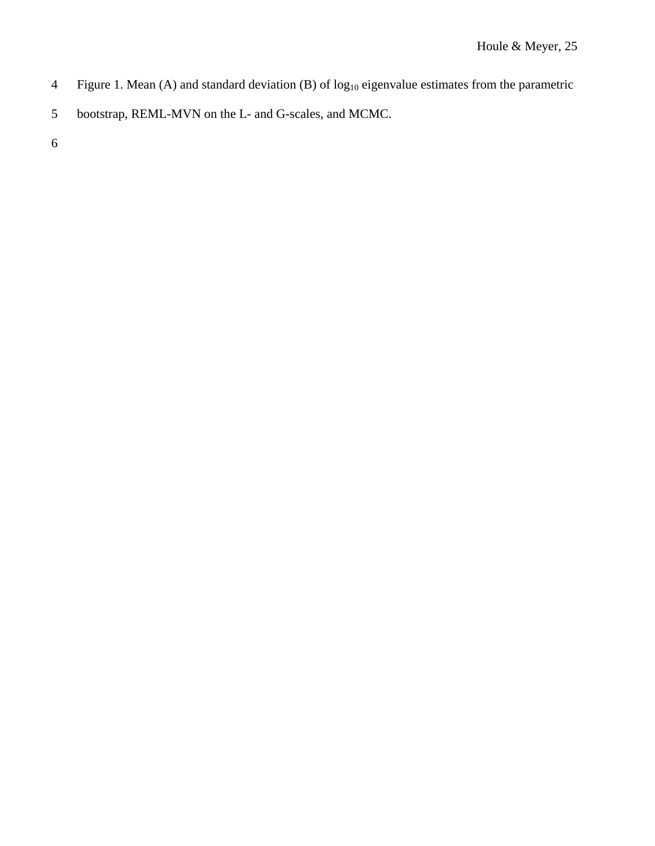- 4 Figure 1. Mean (A) and standard deviation (B) of log<sub>10</sub> eigenvalue estimates from the parametric
- 5 bootstrap, REML-MVN on the L- and G-scales, and MCMC.